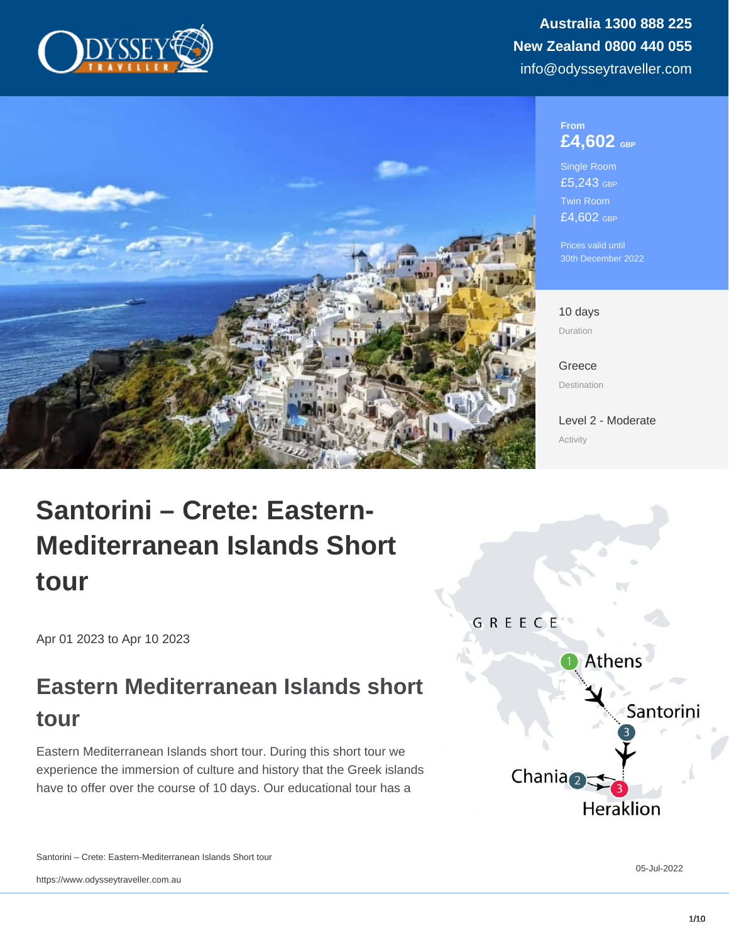#### From £4,602 GBP

Single Room £5,243 GBP Twin Room £4,602 GBP

Prices valid until 30th December 2022

10 days Duration

[Greece](https://www.odysseytraveller.com/destinations/europe/greece/) Destination

[Level 2 - Moderate](/tour-category/activity-levels/) Activity

# Santorini – Crete: Eastern-Mediterranean Islands Short tour

Apr 01 2023 to Apr 10 2023

## Eastern Mediterranean Islands short tour

Eastern Mediterranean Islands short tour. During this short tour we experience the immersion of culture and history that the Greek islands have to offer over the course of 10 days. Our educational tour has a

Santorini – Crete: Eastern-Mediterranean Islands Short tour

https://www.odysseytraveller.com.au

05-Jul-2022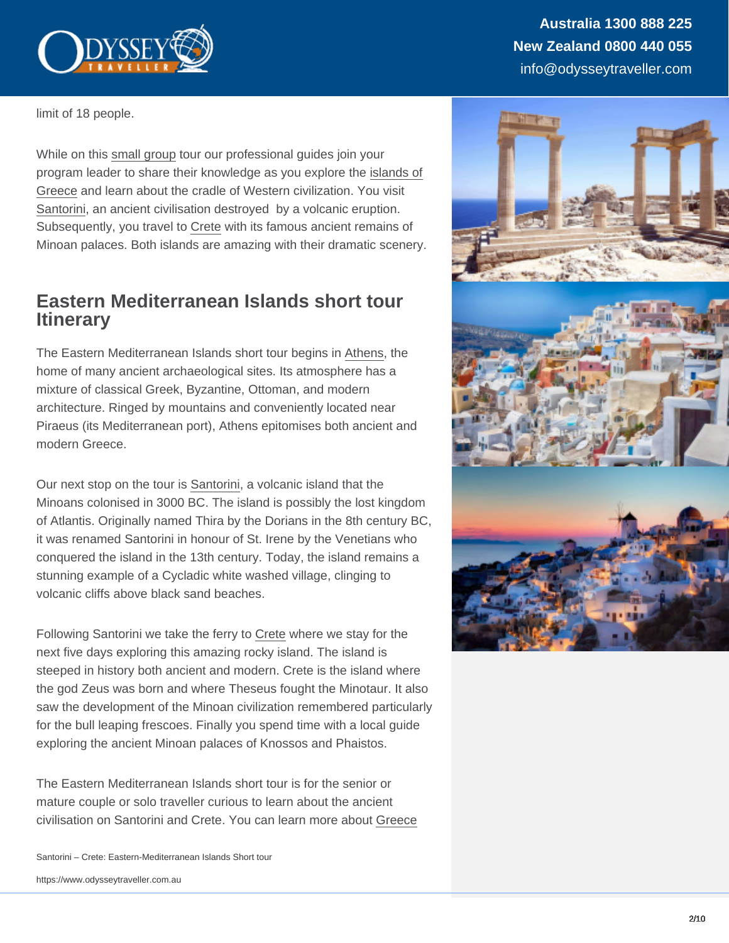limit of 18 people.

While on this [small group](https://www.odysseytraveller.com/articles/small-group-tour/) tour our professional guides join your program leader to share their knowledge as you explore the [islands of](https://www.odysseytraveller.com/articles/questions-about-greece/) [Greece](https://www.odysseytraveller.com/articles/questions-about-greece/) and learn about the cradle of Western civilization. You visit [Santorini](https://www.odysseytraveller.com/articles/history-of-santorini/), an ancient civilisation destroyed by a volcanic eruption. Subsequently, you travel to [Crete](https://www.odysseytraveller.com/articles/crete-history-for-travellers/) with its famous ancient remains of Minoan palaces. Both islands are amazing with their dramatic scenery.

### Eastern Mediterranean Islands short tour **Itinerary**

The Eastern Mediterranean Islands short tour begins in [Athens](https://www.britannica.com/place/Athens), the home of many ancient archaeological sites. Its atmosphere has a mixture of classical Greek, Byzantine, Ottoman, and modern architecture. Ringed by mountains and conveniently located near Piraeus (its Mediterranean port), Athens epitomises both ancient and modern Greece.

Our next stop on the tour is [Santorini,](https://www.britannica.com/place/Thera) a volcanic island that the Minoans colonised in 3000 BC. The island is possibly the lost kingdom of Atlantis. Originally named Thira by the Dorians in the 8th century BC, it was renamed Santorini in honour of St. Irene by the Venetians who conquered the island in the 13th century. Today, the island remains a stunning example of a Cycladic white washed village, clinging to volcanic cliffs above black sand beaches.

Following Santorini we take the ferry to [Crete](https://www.britannica.com/place/Crete) where we stay for the next five days exploring this amazing rocky island. The island is steeped in history both ancient and modern. Crete is the island where the god Zeus was born and where Theseus fought the Minotaur. It also saw the development of the Minoan civilization remembered particularly for the bull leaping frescoes. Finally you spend time with a local guide exploring the ancient Minoan palaces of Knossos and Phaistos.

The Eastern Mediterranean Islands short tour is for the senior or mature couple or solo traveller curious to learn about the ancient civilisation on Santorini and Crete. You can learn more about [Greece](https://www.odysseytraveller.com/destinations/europe/greece/)

Santorini – Crete: Eastern-Mediterranean Islands Short tour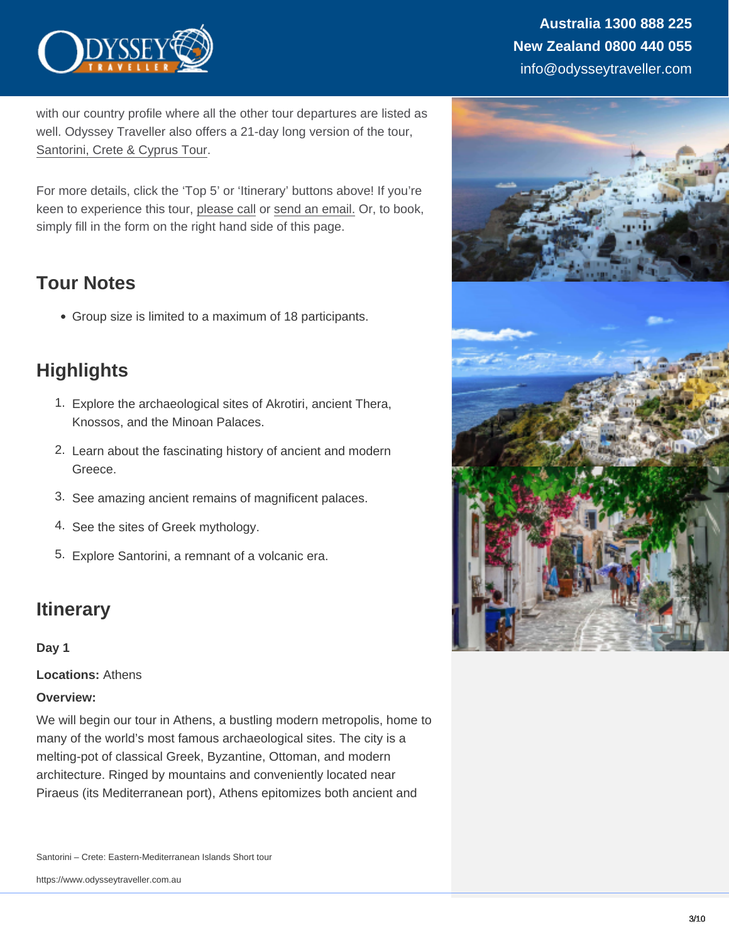with our country profile where all the other tour departures are listed as well. Odyssey Traveller also offers a 21-day long version of the tour, [Santorini, Crete & Cyprus Tour](https://www.odysseytraveller.com/tours-small-groups/santorini-crete-cyprus-eastern-mediterranean-islands-small-group-tour/).

For more details, click the 'Top 5' or 'Itinerary' buttons above! If you're keen to experience this tour, [please call](https://www.odysseytraveller.com/contact-us/) or [send an email.](mailto:info@odysseytravel.com.au) Or, to book, simply fill in the form on the right hand side of this page.

### Tour Notes

Group size is limited to a maximum of 18 participants.

### **Highlights**

- 1. Explore the archaeological sites of Akrotiri, ancient Thera, Knossos, and the Minoan Palaces.
- 2. Learn about the fascinating history of ancient and modern Greece.
- 3. See amazing ancient remains of magnificent palaces.
- 4. See the sites of Greek mythology.
- 5. Explore Santorini, a remnant of a volcanic era.

### **Itinerary**

Day 1

Locations: Athens

Overview:

We will begin our tour in Athens, a bustling modern metropolis, home to many of the world's most famous archaeological sites. The city is a melting-pot of classical Greek, Byzantine, Ottoman, and modern architecture. Ringed by mountains and conveniently located near Piraeus (its Mediterranean port), Athens epitomizes both ancient and

Santorini – Crete: Eastern-Mediterranean Islands Short tour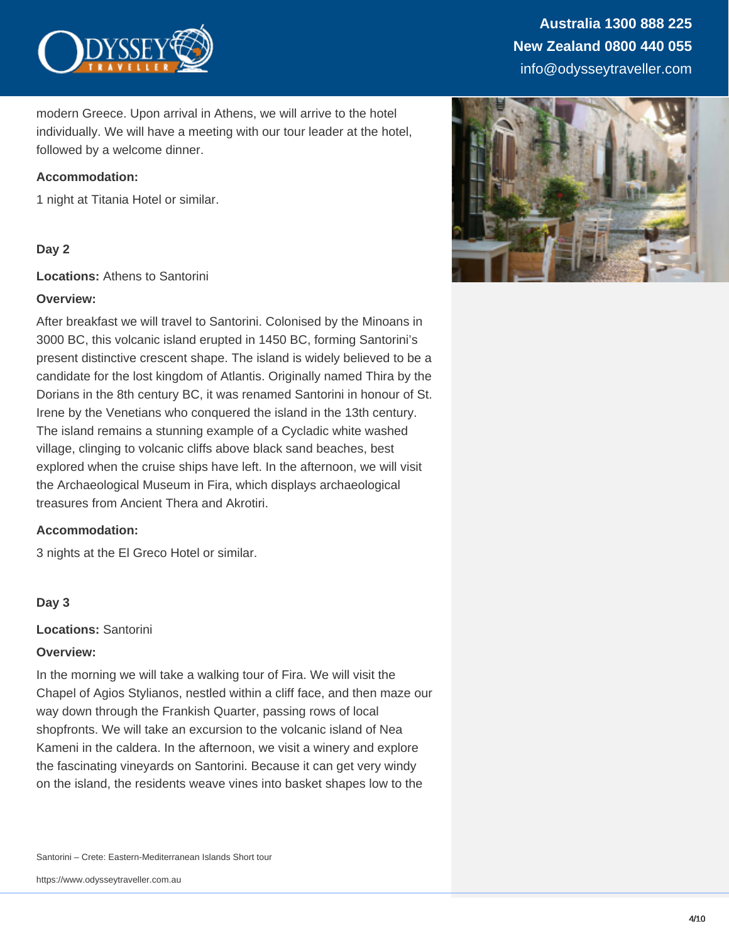

modern Greece. Upon arrival in Athens, we will arrive to the hotel individually. We will have a meeting with our tour leader at the hotel, followed by a welcome dinner.

#### **Accommodation:**

1 night at Titania Hotel or similar.

#### **Day 2**

**Locations:** Athens to Santorini

#### **Overview:**

After breakfast we will travel to Santorini. Colonised by the Minoans in 3000 BC, this volcanic island erupted in 1450 BC, forming Santorini's present distinctive crescent shape. The island is widely believed to be a candidate for the lost kingdom of Atlantis. Originally named Thira by the Dorians in the 8th century BC, it was renamed Santorini in honour of St. Irene by the Venetians who conquered the island in the 13th century. The island remains a stunning example of a Cycladic white washed village, clinging to volcanic cliffs above black sand beaches, best explored when the cruise ships have left. In the afternoon, we will visit the Archaeological Museum in Fira, which displays archaeological treasures from Ancient Thera and Akrotiri.

#### **Accommodation:**

3 nights at the El Greco Hotel or similar.

#### **Day 3**

**Locations:** Santorini

#### **Overview:**

In the morning we will take a walking tour of Fira. We will visit the Chapel of Agios Stylianos, nestled within a cliff face, and then maze our way down through the Frankish Quarter, passing rows of local shopfronts. We will take an excursion to the volcanic island of Nea Kameni in the caldera. In the afternoon, we visit a winery and explore the fascinating vineyards on Santorini. Because it can get very windy on the island, the residents weave vines into basket shapes low to the

Santorini – Crete: Eastern-Mediterranean Islands Short tour

https://www.odysseytraveller.com.au

### **Australia 1300 888 225 New Zealand 0800 440 055** info@odysseytraveller.com

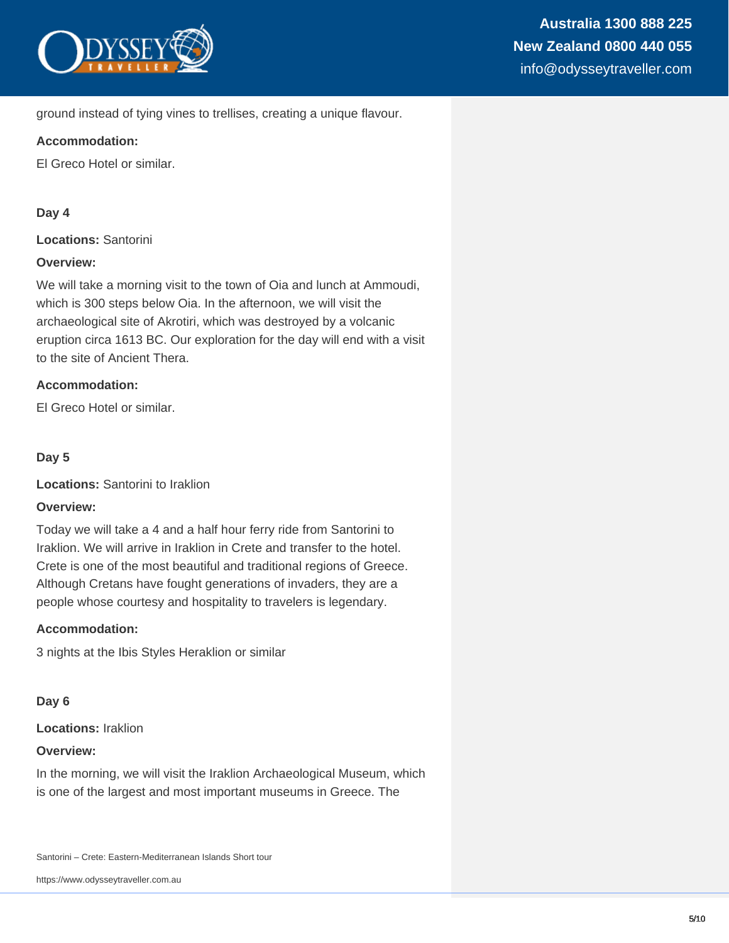

#### ground instead of tying vines to trellises, creating a unique flavour.

#### **Accommodation:**

El Greco Hotel or similar.

#### **Day 4**

**Locations:** Santorini

#### **Overview:**

We will take a morning visit to the town of Oia and lunch at Ammoudi, which is 300 steps below Oia. In the afternoon, we will visit the archaeological site of Akrotiri, which was destroyed by a volcanic eruption circa 1613 BC. Our exploration for the day will end with a visit to the site of Ancient Thera.

#### **Accommodation:**

El Greco Hotel or similar.

#### **Day 5**

**Locations:** Santorini to Iraklion

#### **Overview:**

Today we will take a 4 and a half hour ferry ride from Santorini to Iraklion. We will arrive in Iraklion in Crete and transfer to the hotel. Crete is one of the most beautiful and traditional regions of Greece. Although Cretans have fought generations of invaders, they are a people whose courtesy and hospitality to travelers is legendary.

#### **Accommodation:**

3 nights at the Ibis Styles Heraklion or similar

#### **Day 6**

#### **Locations:** Iraklion

#### **Overview:**

In the morning, we will visit the Iraklion Archaeological Museum, which is one of the largest and most important museums in Greece. The

Santorini – Crete: Eastern-Mediterranean Islands Short tour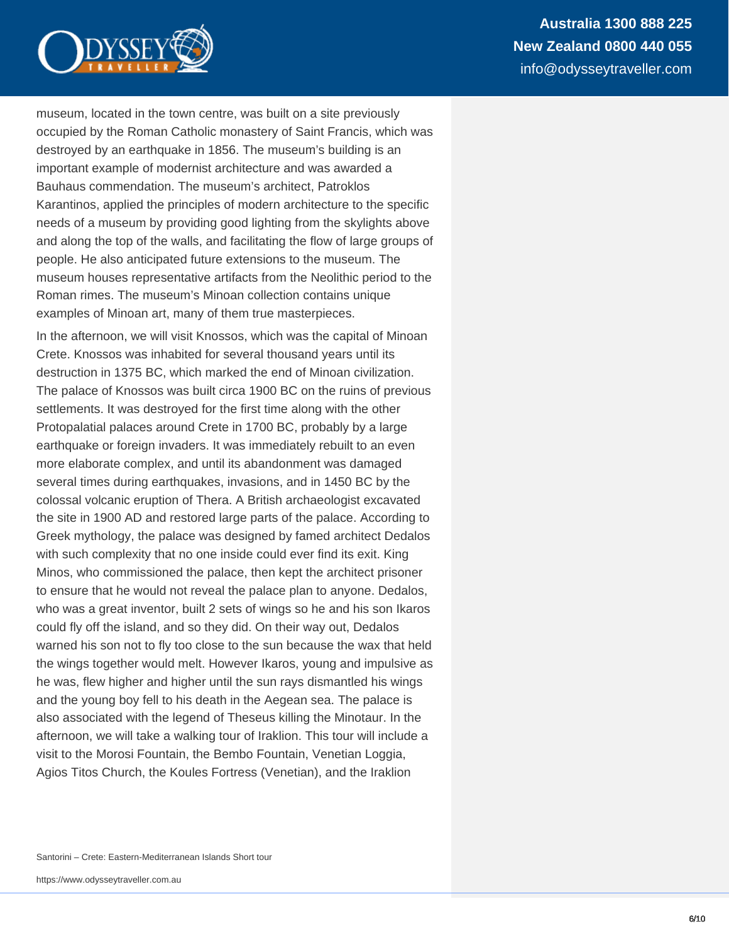

museum, located in the town centre, was built on a site previously occupied by the Roman Catholic monastery of Saint Francis, which was destroyed by an earthquake in 1856. The museum's building is an important example of modernist architecture and was awarded a Bauhaus commendation. The museum's architect, Patroklos Karantinos, applied the principles of modern architecture to the specific needs of a museum by providing good lighting from the skylights above and along the top of the walls, and facilitating the flow of large groups of people. He also anticipated future extensions to the museum. The museum houses representative artifacts from the Neolithic period to the Roman rimes. The museum's Minoan collection contains unique examples of Minoan art, many of them true masterpieces.

In the afternoon, we will visit Knossos, which was the capital of Minoan Crete. Knossos was inhabited for several thousand years until its destruction in 1375 BC, which marked the end of Minoan civilization. The palace of Knossos was built circa 1900 BC on the ruins of previous settlements. It was destroyed for the first time along with the other Protopalatial palaces around Crete in 1700 BC, probably by a large earthquake or foreign invaders. It was immediately rebuilt to an even more elaborate complex, and until its abandonment was damaged several times during earthquakes, invasions, and in 1450 BC by the colossal volcanic eruption of Thera. A British archaeologist excavated the site in 1900 AD and restored large parts of the palace. According to Greek mythology, the palace was designed by famed architect Dedalos with such complexity that no one inside could ever find its exit. King Minos, who commissioned the palace, then kept the architect prisoner to ensure that he would not reveal the palace plan to anyone. Dedalos, who was a great inventor, built 2 sets of wings so he and his son Ikaros could fly off the island, and so they did. On their way out, Dedalos warned his son not to fly too close to the sun because the wax that held the wings together would melt. However Ikaros, young and impulsive as he was, flew higher and higher until the sun rays dismantled his wings and the young boy fell to his death in the Aegean sea. The palace is also associated with the legend of Theseus killing the Minotaur. In the afternoon, we will take a walking tour of Iraklion. This tour will include a visit to the Morosi Fountain, the Bembo Fountain, Venetian Loggia, Agios Titos Church, the Koules Fortress (Venetian), and the Iraklion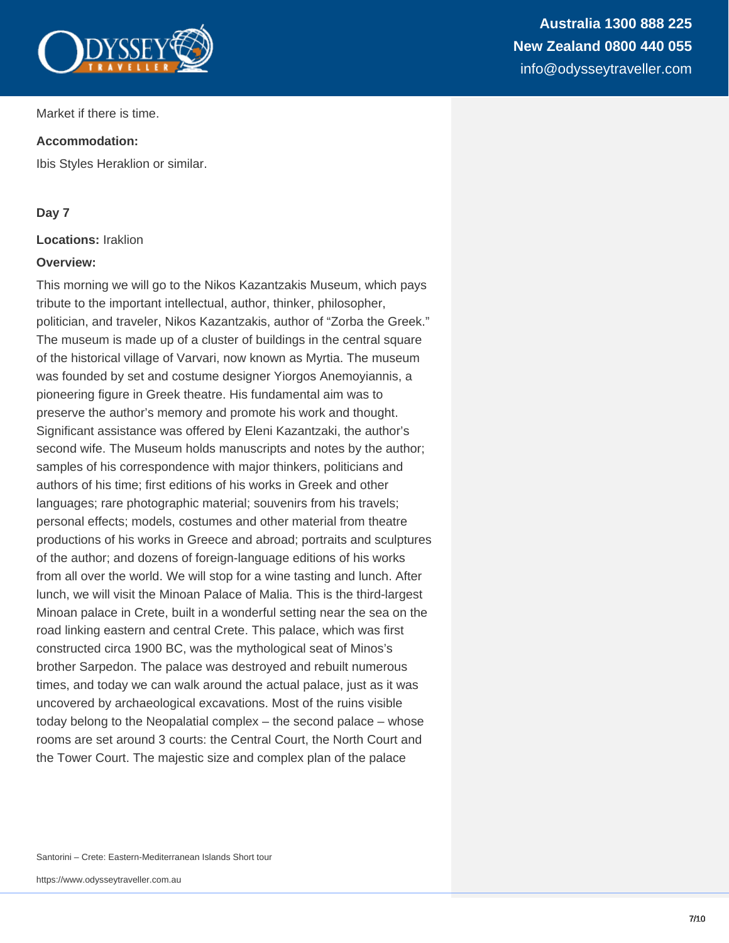

Market if there is time.

#### **Accommodation:**

Ibis Styles Heraklion or similar.

#### **Day 7**

#### **Locations:** Iraklion

#### **Overview:**

This morning we will go to the Nikos Kazantzakis Museum, which pays tribute to the important intellectual, author, thinker, philosopher, politician, and traveler, Nikos Kazantzakis, author of "Zorba the Greek." The museum is made up of a cluster of buildings in the central square of the historical village of Varvari, now known as Myrtia. The museum was founded by set and costume designer Yiorgos Anemoyiannis, a pioneering figure in Greek theatre. His fundamental aim was to preserve the author's memory and promote his work and thought. Significant assistance was offered by Eleni Kazantzaki, the author's second wife. The Museum holds manuscripts and notes by the author; samples of his correspondence with major thinkers, politicians and authors of his time; first editions of his works in Greek and other languages; rare photographic material; souvenirs from his travels; personal effects; models, costumes and other material from theatre productions of his works in Greece and abroad; portraits and sculptures of the author; and dozens of foreign-language editions of his works from all over the world. We will stop for a wine tasting and lunch. After lunch, we will visit the Minoan Palace of Malia. This is the third-largest Minoan palace in Crete, built in a wonderful setting near the sea on the road linking eastern and central Crete. This palace, which was first constructed circa 1900 BC, was the mythological seat of Minos's brother Sarpedon. The palace was destroyed and rebuilt numerous times, and today we can walk around the actual palace, just as it was uncovered by archaeological excavations. Most of the ruins visible today belong to the Neopalatial complex – the second palace – whose rooms are set around 3 courts: the Central Court, the North Court and the Tower Court. The majestic size and complex plan of the palace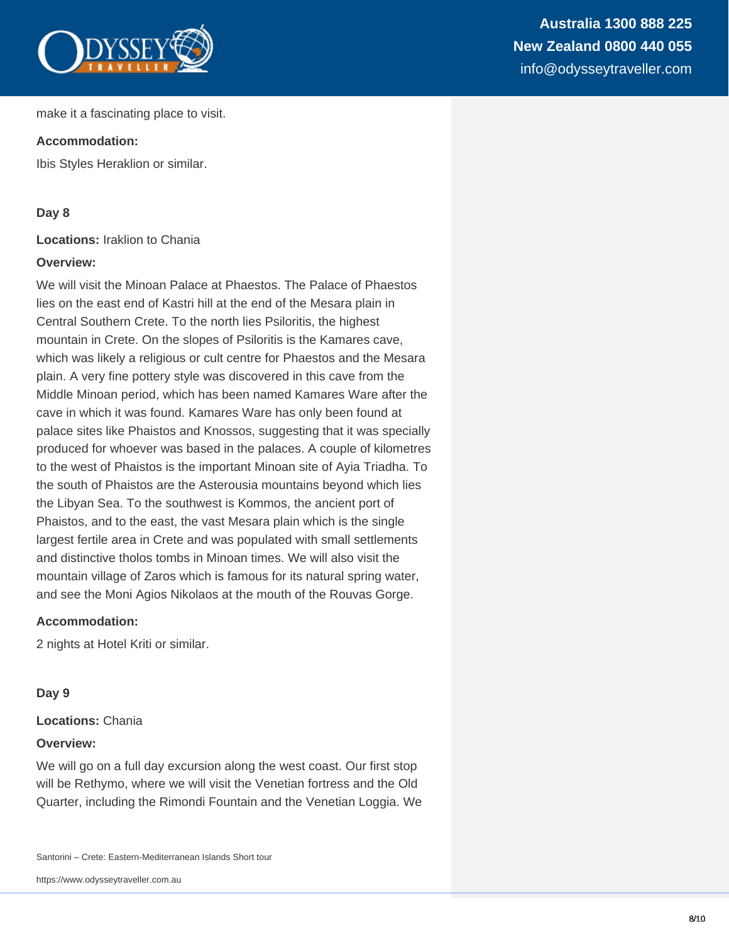

#### **Accommodation:**

Ibis Styles Heraklion or similar.

#### **Day 8**

**Locations:** Iraklion to Chania

#### **Overview:**

We will visit the Minoan Palace at Phaestos. The Palace of Phaestos lies on the east end of Kastri hill at the end of the Mesara plain in Central Southern Crete. To the north lies Psiloritis, the highest mountain in Crete. On the slopes of Psiloritis is the Kamares cave, which was likely a religious or cult centre for Phaestos and the Mesara plain. A very fine pottery style was discovered in this cave from the Middle Minoan period, which has been named Kamares Ware after the cave in which it was found. Kamares Ware has only been found at palace sites like Phaistos and Knossos, suggesting that it was specially produced for whoever was based in the palaces. A couple of kilometres to the west of Phaistos is the important Minoan site of Ayia Triadha. To the south of Phaistos are the Asterousia mountains beyond which lies the Libyan Sea. To the southwest is Kommos, the ancient port of Phaistos, and to the east, the vast Mesara plain which is the single largest fertile area in Crete and was populated with small settlements and distinctive tholos tombs in Minoan times. We will also visit the mountain village of Zaros which is famous for its natural spring water, and see the Moni Agios Nikolaos at the mouth of the Rouvas Gorge.

#### **Accommodation:**

2 nights at Hotel Kriti or similar.

#### **Day 9**

#### **Locations:** Chania

#### **Overview:**

We will go on a full day excursion along the west coast. Our first stop will be Rethymo, where we will visit the Venetian fortress and the Old Quarter, including the Rimondi Fountain and the Venetian Loggia. We

Santorini – Crete: Eastern-Mediterranean Islands Short tour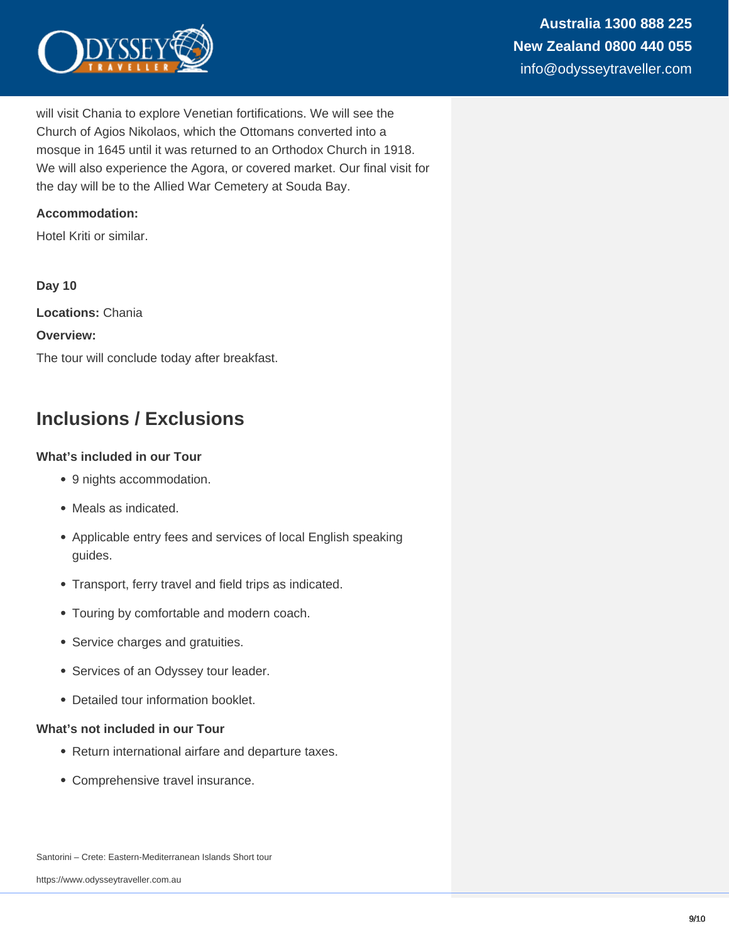

will visit Chania to explore Venetian fortifications. We will see the Church of Agios Nikolaos, which the Ottomans converted into a mosque in 1645 until it was returned to an Orthodox Church in 1918. We will also experience the Agora, or covered market. Our final visit for the day will be to the Allied War Cemetery at Souda Bay.

#### **Accommodation:**

Hotel Kriti or similar.

**Day 10 Locations:** Chania **Overview:** The tour will conclude today after breakfast.

### **Inclusions / Exclusions**

#### **What's included in our Tour**

- 9 nights accommodation.
- Meals as indicated.
- Applicable entry fees and services of local English speaking guides.
- Transport, ferry travel and field trips as indicated.
- Touring by comfortable and modern coach.
- Service charges and gratuities.
- Services of an Odyssey tour leader.
- Detailed tour information booklet.

#### **What's not included in our Tour**

- Return international airfare and departure taxes.
- Comprehensive travel insurance.

Santorini – Crete: Eastern-Mediterranean Islands Short tour